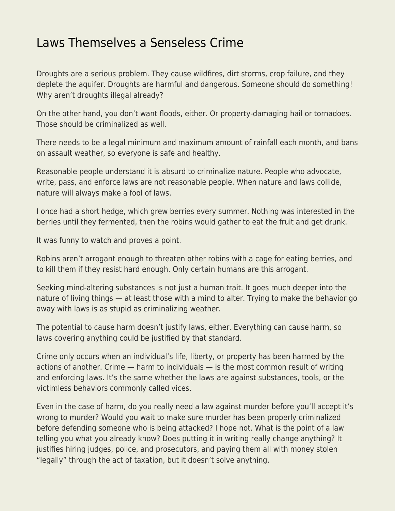## [Laws Themselves a Senseless Crime](https://everything-voluntary.com/laws-themselves-a-senseless-crime)

Droughts are a serious problem. They cause wildfires, dirt storms, crop failure, and they deplete the aquifer. Droughts are harmful and dangerous. Someone should do something! Why aren't droughts illegal already?

On the other hand, you don't want floods, either. Or property-damaging hail or tornadoes. Those should be criminalized as well.

There needs to be a legal minimum and maximum amount of rainfall each month, and bans on assault weather, so everyone is safe and healthy.

Reasonable people understand it is absurd to criminalize nature. People who advocate, write, pass, and enforce laws are not reasonable people. When nature and laws collide, nature will always make a fool of laws.

I once had a short hedge, which grew berries every summer. Nothing was interested in the berries until they fermented, then the robins would gather to eat the fruit and get drunk.

It was funny to watch and proves a point.

Robins aren't arrogant enough to threaten other robins with a cage for eating berries, and to kill them if they resist hard enough. Only certain humans are this arrogant.

Seeking mind-altering substances is not just a human trait. It goes much deeper into the nature of living things — at least those with a mind to alter. Trying to make the behavior go away with laws is as stupid as criminalizing weather.

The potential to cause harm doesn't justify laws, either. Everything can cause harm, so laws covering anything could be justified by that standard.

Crime only occurs when an individual's life, liberty, or property has been harmed by the actions of another. Crime — harm to individuals — is the most common result of writing and enforcing laws. It's the same whether the laws are against substances, tools, or the victimless behaviors commonly called vices.

Even in the case of harm, do you really need a law against murder before you'll accept it's wrong to murder? Would you wait to make sure murder has been properly criminalized before defending someone who is being attacked? I hope not. What is the point of a law telling you what you already know? Does putting it in writing really change anything? It justifies hiring judges, police, and prosecutors, and paying them all with money stolen "legally" through the act of taxation, but it doesn't solve anything.